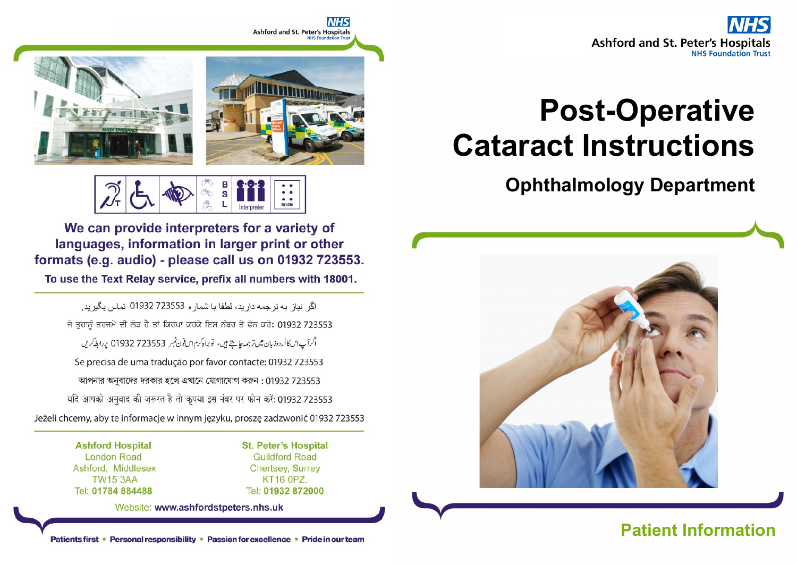

# Post-Operative Cataract Instructions

## Ophthalmology Department



## Patients first • Personal responsibility • Passion for excellence • Pride in our team



Е  $\overline{\mathbf{s}}$ 

We can provide interpreters for a variety of languages, information in larger print or other formats (e.g. audio) - please call us on 01932 723553.

To use the Text Relay service, prefix all numbers with 18001.

اگر نياز به تر جمه دار بد، لطفا با شمار ه 723553 01932 تماس بگير بد. ਜੇ ਤਹਾਨੂੰ ਤਰਜਮੇ ਦੀ ਲੋੜ ਹੈ ਤਾਂ ਕਿਰਪਾ ਕਰਕੇ ਇਸ ਨੰਬਰ ਤੇ ਫੋਨ ਕਰੋ: 01932 723553 اگرآپ این کا اُردوزبان میں تر جمہ چاہتے ہیں، توبراہ کرم اِس فون نمبر 723553 01932 پر ابطہ کریں Se precisa de uma tradução por favor contacte: 01932 723553 আপনার অনুবাদের দরকার হলে এখানে যোগাযোগ করুন: 01932 723553 यदि आपको अनुवाद की ज़रूरत है तो कृपया इस नंबर पर फोन करें: 01932 723553 Jeżeli chcemy, aby te informacje w innym języku, proszę zadzwonić 01932 723553

> **Ashford Hospital London Road** Ashford, Middlesex **TW15 3AA** Tel: 01784 884488

**St. Peter's Hospital Guildford Road Chertsey, Surrey KT16 0PZ.** Tel: 01932 872000

Website: www.ashfordstpeters.nhs.uk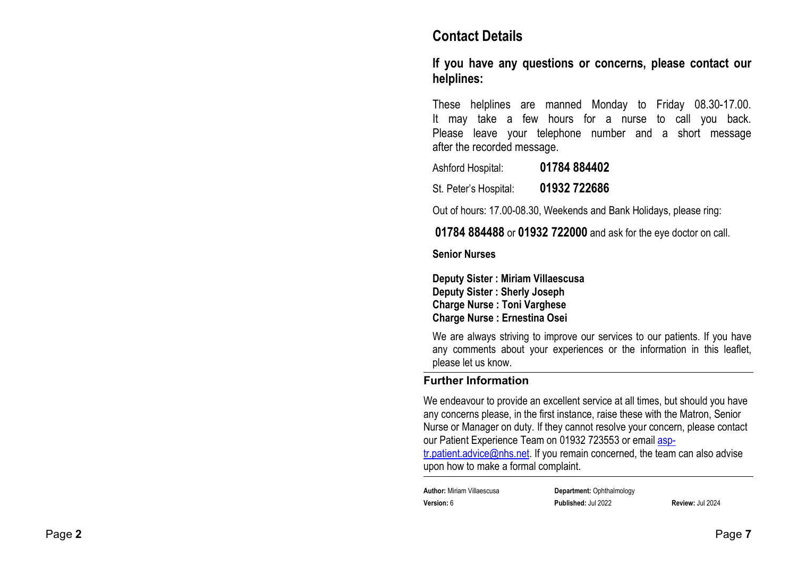#### Contact Details

If you have any questions or concerns, please contact our helplines:

These helplines are manned Monday to Friday 08.30-17.00. It may take a few hours for a nurse to call you back. Please leave your telephone number and a short message after the recorded message.

Ashford Hospital: 01784 884402

St. Peter's Hospital: 01932 722686

Out of hours: 17.00-08.30, Weekends and Bank Holidays, please ring:

01784 884488 or 01932 722000 and ask for the eye doctor on call.

#### Senior Nurses

Deputy Sister : Miriam Villaescusa Deputy Sister : Sherly Joseph Charge Nurse : Toni Varghese Charge Nurse : Ernestina Osei

We are always striving to improve our services to our patients. If you have any comments about your experiences or the information in this leaflet, please let us know.

#### Further Information

We endeavour to provide an excellent service at all times, but should you have any concerns please, in the first instance, raise these with the Matron, Senior Nurse or Manager on duty. If they cannot resolve your concern, please contact our Patient Experience Team on 01932 723553 or email asp-

tr.patient.advice@nhs.net. If you remain concerned, the team can also advise upon how to make a formal complaint.

| <b>Author:</b> Miriam Villaescusa | <b>Department: Ophthalmology</b> |                         |
|-----------------------------------|----------------------------------|-------------------------|
| Version: 6                        | <b>Published: Jul 2022</b>       | <b>Review: Jul 2024</b> |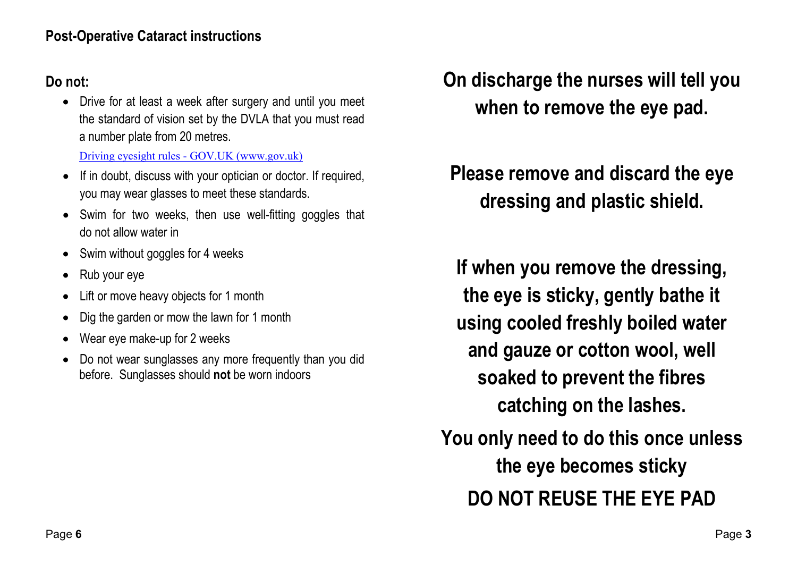### Post-Operative Cataract instructions

#### Do not:

 Drive for at least a week after surgery and until you meet the standard of vision set by the DVLA that you must read a number plate from 20 metres.

Driving eyesight rules - GOV.UK (www.gov.uk)

- If in doubt, discuss with your optician or doctor. If required, you may wear glasses to meet these standards.
- Swim for two weeks, then use well-fitting goggles that do not allow water in
- Swim without goggles for 4 weeks
- Rub your eye
- Lift or move heavy objects for 1 month
- Dig the garden or mow the lawn for 1 month
- Wear eye make-up for 2 weeks
- Do not wear sunglasses any more frequently than you did before. Sunglasses should not be worn indoors

# On discharge the nurses will tell you when to remove the eye pad.

Please remove and discard the eye dressing and plastic shield.

If when you remove the dressing, the eye is sticky, gently bathe it using cooled freshly boiled water and gauze or cotton wool, well soaked to prevent the fibres catching on the lashes.

You only need to do this once unless the eye becomes sticky DO NOT REUSE THE EYE PAD